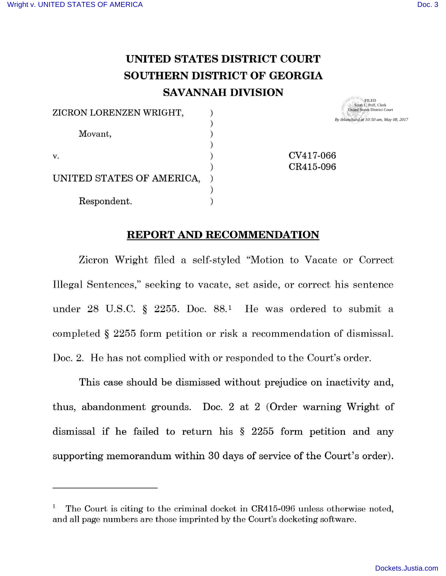**SOUND FOR THE SOUPEILED** 

## **UNITED STATES DISTRICT COURT SOUTHERN DISTRICT OF GEORGIA SAVANNAH DIVISION**

| ZICRON LORENZEN WRIGHT,   | Scott L. Poff, Clerk<br><b>United States District Court</b> |
|---------------------------|-------------------------------------------------------------|
|                           | By tblanchard at 10:50 am, May 08, 2017                     |
| Movant,                   |                                                             |
|                           |                                                             |
| v.                        | CV417-066                                                   |
|                           | CR415-096                                                   |
| UNITED STATES OF AMERICA, |                                                             |
|                           |                                                             |
| Respondent.               |                                                             |

## **REPORT AND RECOMMENDATION**

Zicron Wright filed a self-styled "Motion to Vacate or Correct Illegal Sentences," seeking to vacate, set aside, or correct his sentence under 28 U.S.C.  $\S$  2255. Doc. 88.<sup>1</sup> He was ordered to submit a completed § 2255 form petition or risk a recommendation of dismissal. Doc. 2. He has not complied with or responded to the Court's order.

This case should be dismissed without prejudice on inactivity and, thus, abandonment grounds. Doc. 2 at 2 (Order warning Wright of dismissal if he failed to return his § 2255 form petition and any supporting memorandum within 30 days of service of the Court's order).

The Court is citing to the criminal docket in CR415-096 unless otherwise noted, and all page numbers are those imprinted by the Court's docketing software.